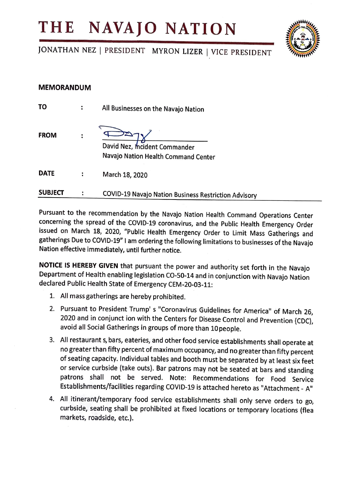## **THE NAVAJO NATION**



JONATHAN NEZ | PRESIDENT MYRON LIZER | VICE PRESIDENT

## **MEMORANDUM**

| <b>SUBJECT</b> | <b>COVID-19 Navajo Nation Business Restriction Advisory</b>         |
|----------------|---------------------------------------------------------------------|
| <b>DATE</b>    | March 18, 2020                                                      |
| <b>FROM</b>    | David Nez, mcident Commander<br>Navajo Nation Health Command Center |
| TO             | All Businesses on the Navajo Nation                                 |

Pursuant to the recommendation by the Navajo Nation Health Command Operations Center concerning the spread of the COVID-19 coronavirus, and the Public Health Emergency Order issued on March 18, 2020, "Public Health Emergency Order to Limit Mass Gatherings and gatherings Due to COVID-19" I am ordering the following limitations to businesses of the Navajo Nation effective immediately, until further notice.

**NOTICE IS HEREBY GIVEN** that pursuant the power and authority set forth in the Navajo Department of Health enabling legislation CO-50-14 and in conjunction with Navajo Nation declared Public Health State of Emergency CEM-20-03-11:

- 1. All mass gatherings are hereby prohibited.
- 2. Pursuant to President Trump' s "Coronavirus Guidelines for America" of March 26, 2020 and in conjunct ion with the Centers for Disease Control and Prevention {CDC), avoid all Social Gatherings in groups of more than l0people.
- 3. All restaurant s, bars, eateries, and other food service establishments shall operate at no greater than fifty percent of maximum occupancy, and no greater than fifty percent of seating capacity. Individual tables and booth must be separated by at least six feet or service curbside (take outs). Bar patrons may not be seated at bars and standing patrons shall not be served. Note: Recommendations for Food Service Establishments/facilities regarding COVID-19 is attached hereto as "Attachment - A"
- 4. All itinerant/temporary food service establishments shall only serve orders to go, curbside, seating shall be prohibited at fixed locations or temporary locations (flea markets, roadside, etc.).